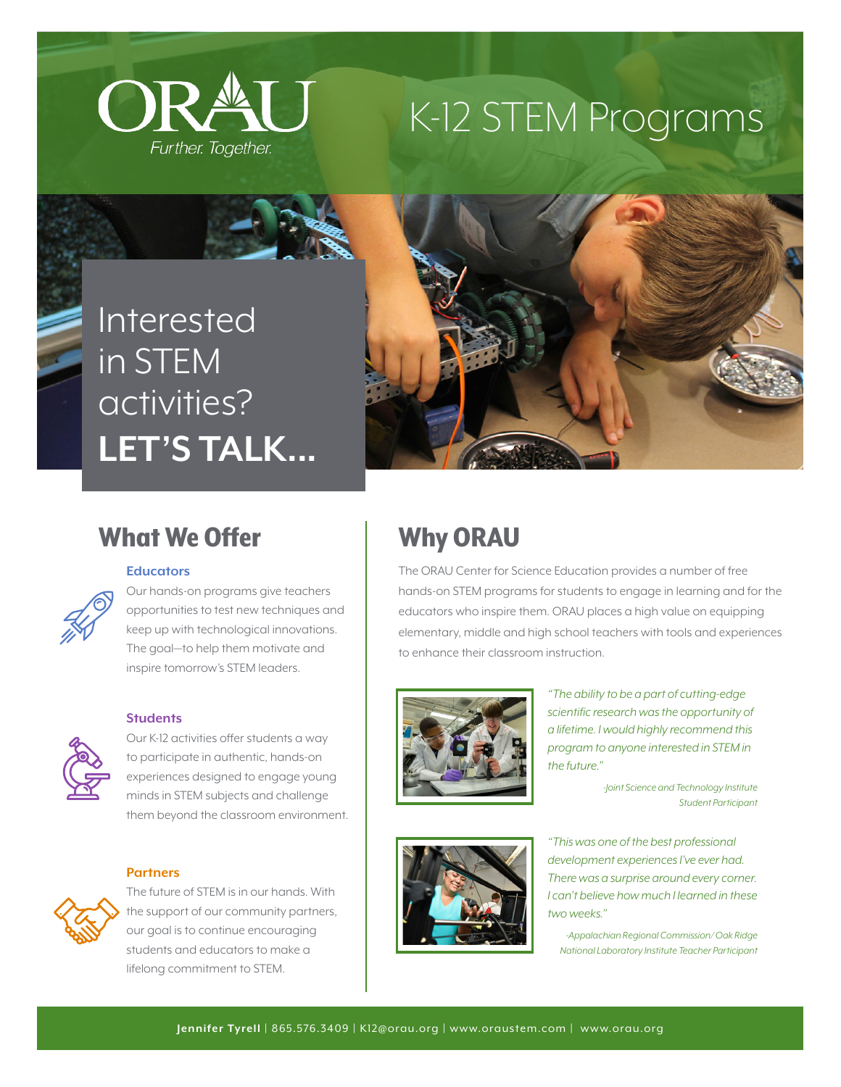

## K-12 STEM Programs

## Interested in STEM activities? **LET'S TALK...**



### What We Offer

#### **Educators**

Our hands-on programs give teachers opportunities to test new techniques and keep up with technological innovations. The goal—to help them motivate and inspire tomorrow's STEM leaders.

#### **Students**



Our K-12 activities offer students a way to participate in authentic, hands-on experiences designed to engage young minds in STEM subjects and challenge them beyond the classroom environment.

### **Partners**



The future of STEM is in our hands. With the support of our community partners, our goal is to continue encouraging students and educators to make a lifelong commitment to STEM.

## Why ORAU

The ORAU Center for Science Education provides a number of free hands-on STEM programs for students to engage in learning and for the educators who inspire them. ORAU places a high value on equipping elementary, middle and high school teachers with tools and experiences to enhance their classroom instruction.



*"The ability to be a part of cutting-edge scientific research was the opportunity of a lifetime. I would highly recommend this program to anyone interested in STEM in the future."*

> *-Joint Science and Technology Institute Student Participant*

*"This was one of the best professional development experiences I've ever had. There was a surprise around every corner. I can't believe how much I learned in these two weeks."* 

*-Appalachian Regional Commission/ Oak Ridge National Laboratory Institute Teacher Participant*